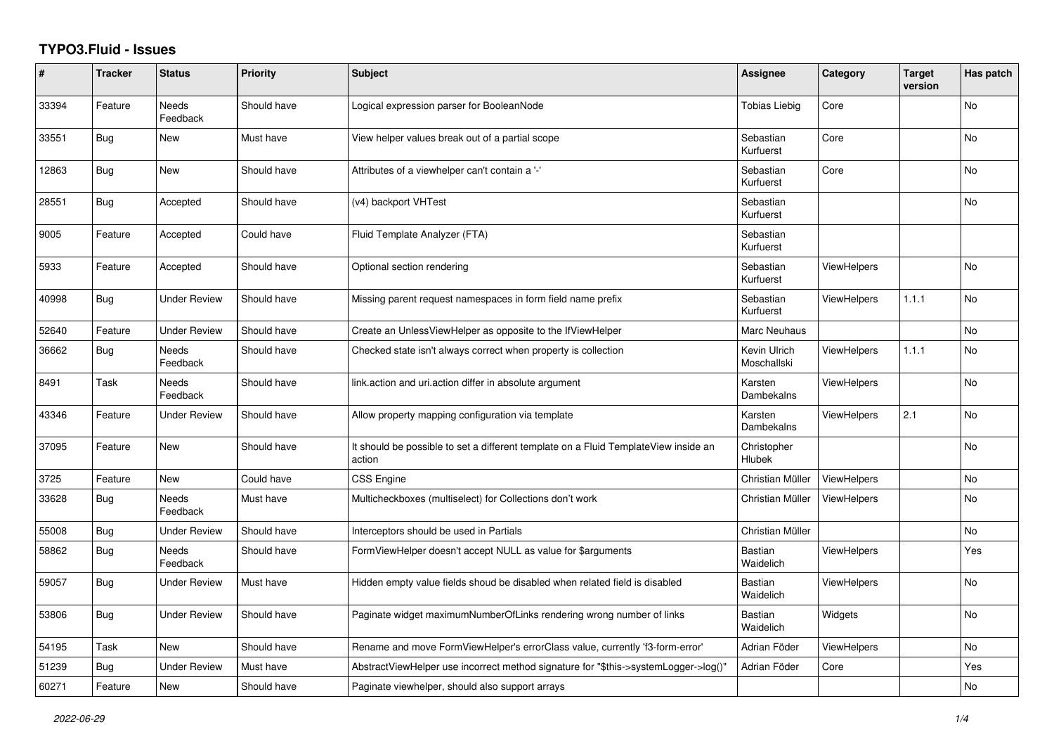## **TYPO3.Fluid - Issues**

| #     | <b>Tracker</b> | <b>Status</b>            | <b>Priority</b> | <b>Subject</b>                                                                                | Assignee                    | Category           | <b>Target</b><br>version | Has patch |
|-------|----------------|--------------------------|-----------------|-----------------------------------------------------------------------------------------------|-----------------------------|--------------------|--------------------------|-----------|
| 33394 | Feature        | <b>Needs</b><br>Feedback | Should have     | Logical expression parser for BooleanNode                                                     | <b>Tobias Liebig</b>        | Core               |                          | <b>No</b> |
| 33551 | Bug            | <b>New</b>               | Must have       | View helper values break out of a partial scope                                               | Sebastian<br>Kurfuerst      | Core               |                          | <b>No</b> |
| 12863 | <b>Bug</b>     | New                      | Should have     | Attributes of a viewhelper can't contain a '-'                                                | Sebastian<br>Kurfuerst      | Core               |                          | No        |
| 28551 | Bug            | Accepted                 | Should have     | (v4) backport VHTest                                                                          | Sebastian<br>Kurfuerst      |                    |                          | No        |
| 9005  | Feature        | Accepted                 | Could have      | Fluid Template Analyzer (FTA)                                                                 | Sebastian<br>Kurfuerst      |                    |                          |           |
| 5933  | Feature        | Accepted                 | Should have     | Optional section rendering                                                                    | Sebastian<br>Kurfuerst      | <b>ViewHelpers</b> |                          | <b>No</b> |
| 40998 | Bug            | <b>Under Review</b>      | Should have     | Missing parent request namespaces in form field name prefix                                   | Sebastian<br>Kurfuerst      | <b>ViewHelpers</b> | 1.1.1                    | No        |
| 52640 | Feature        | <b>Under Review</b>      | Should have     | Create an UnlessViewHelper as opposite to the IfViewHelper                                    | Marc Neuhaus                |                    |                          | <b>No</b> |
| 36662 | <b>Bug</b>     | <b>Needs</b><br>Feedback | Should have     | Checked state isn't always correct when property is collection                                | Kevin Ulrich<br>Moschallski | <b>ViewHelpers</b> | 1.1.1                    | <b>No</b> |
| 8491  | Task           | Needs<br>Feedback        | Should have     | link action and uri action differ in absolute argument                                        | Karsten<br>Dambekalns       | <b>ViewHelpers</b> |                          | No        |
| 43346 | Feature        | <b>Under Review</b>      | Should have     | Allow property mapping configuration via template                                             | Karsten<br>Dambekalns       | ViewHelpers        | 2.1                      | <b>No</b> |
| 37095 | Feature        | New                      | Should have     | It should be possible to set a different template on a Fluid TemplateView inside an<br>action | Christopher<br>Hlubek       |                    |                          | <b>No</b> |
| 3725  | Feature        | New                      | Could have      | <b>CSS Engine</b>                                                                             | Christian Müller            | <b>ViewHelpers</b> |                          | <b>No</b> |
| 33628 | Bug            | Needs<br>Feedback        | Must have       | Multicheckboxes (multiselect) for Collections don't work                                      | Christian Müller            | <b>ViewHelpers</b> |                          | No        |
| 55008 | Bug            | <b>Under Review</b>      | Should have     | Interceptors should be used in Partials                                                       | Christian Müller            |                    |                          | <b>No</b> |
| 58862 | <b>Bug</b>     | Needs<br>Feedback        | Should have     | FormViewHelper doesn't accept NULL as value for \$arguments                                   | Bastian<br>Waidelich        | <b>ViewHelpers</b> |                          | Yes       |
| 59057 | Bug            | <b>Under Review</b>      | Must have       | Hidden empty value fields shoud be disabled when related field is disabled                    | <b>Bastian</b><br>Waidelich | <b>ViewHelpers</b> |                          | No        |
| 53806 | Bug            | <b>Under Review</b>      | Should have     | Paginate widget maximumNumberOfLinks rendering wrong number of links                          | <b>Bastian</b><br>Waidelich | Widgets            |                          | <b>No</b> |
| 54195 | Task           | New                      | Should have     | Rename and move FormViewHelper's errorClass value, currently 'f3-form-error'                  | Adrian Föder                | ViewHelpers        |                          | <b>No</b> |
| 51239 | Bug            | <b>Under Review</b>      | Must have       | AbstractViewHelper use incorrect method signature for "\$this->systemLogger->log()"           | Adrian Föder                | Core               |                          | Yes       |
| 60271 | Feature        | <b>New</b>               | Should have     | Paginate viewhelper, should also support arrays                                               |                             |                    |                          | <b>No</b> |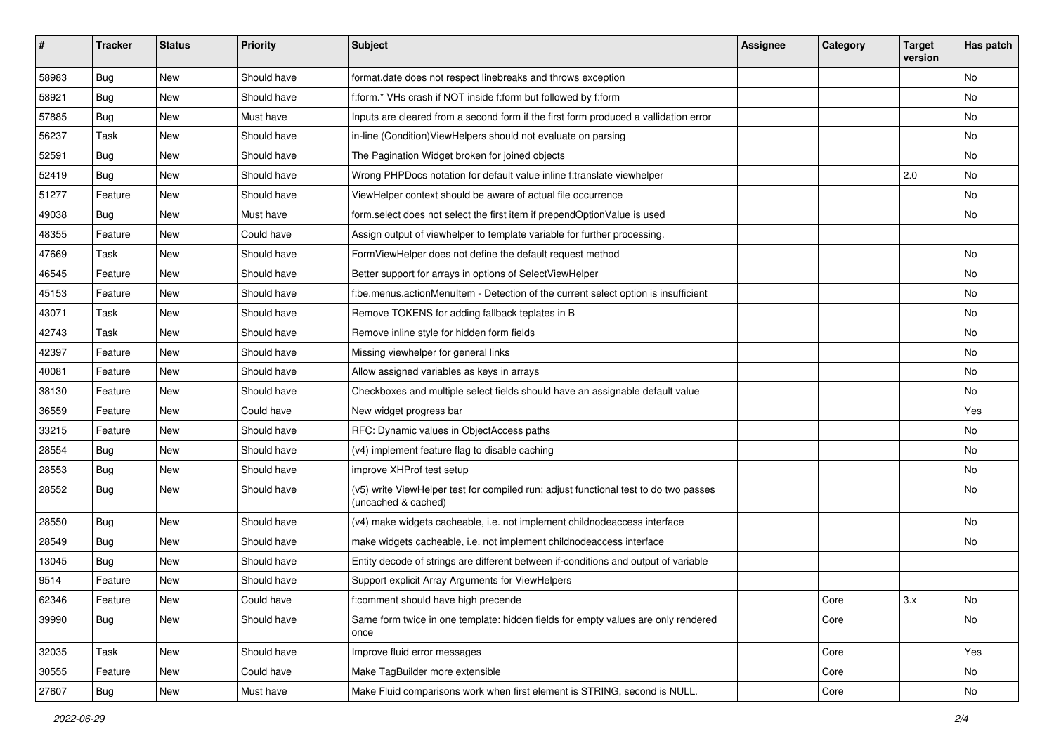| #     | <b>Tracker</b> | <b>Status</b> | <b>Priority</b> | <b>Subject</b>                                                                                              | <b>Assignee</b> | Category | <b>Target</b><br>version | Has patch |
|-------|----------------|---------------|-----------------|-------------------------------------------------------------------------------------------------------------|-----------------|----------|--------------------------|-----------|
| 58983 | Bug            | New           | Should have     | format.date does not respect linebreaks and throws exception                                                |                 |          |                          | <b>No</b> |
| 58921 | Bug            | New           | Should have     | f:form.* VHs crash if NOT inside f:form but followed by f:form                                              |                 |          |                          | No        |
| 57885 | Bug            | New           | Must have       | Inputs are cleared from a second form if the first form produced a vallidation error                        |                 |          |                          | No        |
| 56237 | Task           | New           | Should have     | in-line (Condition)ViewHelpers should not evaluate on parsing                                               |                 |          |                          | No        |
| 52591 | Bug            | New           | Should have     | The Pagination Widget broken for joined objects                                                             |                 |          |                          | No        |
| 52419 | Bug            | New           | Should have     | Wrong PHPDocs notation for default value inline f:translate viewhelper                                      |                 |          | 2.0                      | No        |
| 51277 | Feature        | New           | Should have     | ViewHelper context should be aware of actual file occurrence                                                |                 |          |                          | No        |
| 49038 | Bug            | New           | Must have       | form.select does not select the first item if prependOptionValue is used                                    |                 |          |                          | No        |
| 48355 | Feature        | New           | Could have      | Assign output of viewhelper to template variable for further processing.                                    |                 |          |                          |           |
| 47669 | Task           | New           | Should have     | FormViewHelper does not define the default request method                                                   |                 |          |                          | No        |
| 46545 | Feature        | New           | Should have     | Better support for arrays in options of SelectViewHelper                                                    |                 |          |                          | <b>No</b> |
| 45153 | Feature        | New           | Should have     | f:be.menus.actionMenuItem - Detection of the current select option is insufficient                          |                 |          |                          | No        |
| 43071 | Task           | New           | Should have     | Remove TOKENS for adding fallback teplates in B                                                             |                 |          |                          | No        |
| 42743 | Task           | New           | Should have     | Remove inline style for hidden form fields                                                                  |                 |          |                          | No        |
| 42397 | Feature        | New           | Should have     | Missing viewhelper for general links                                                                        |                 |          |                          | No        |
| 40081 | Feature        | New           | Should have     | Allow assigned variables as keys in arrays                                                                  |                 |          |                          | No        |
| 38130 | Feature        | New           | Should have     | Checkboxes and multiple select fields should have an assignable default value                               |                 |          |                          | No        |
| 36559 | Feature        | New           | Could have      | New widget progress bar                                                                                     |                 |          |                          | Yes       |
| 33215 | Feature        | New           | Should have     | RFC: Dynamic values in ObjectAccess paths                                                                   |                 |          |                          | No        |
| 28554 | Bug            | New           | Should have     | (v4) implement feature flag to disable caching                                                              |                 |          |                          | No        |
| 28553 | Bug            | New           | Should have     | improve XHProf test setup                                                                                   |                 |          |                          | No        |
| 28552 | Bug            | New           | Should have     | (v5) write ViewHelper test for compiled run; adjust functional test to do two passes<br>(uncached & cached) |                 |          |                          | No        |
| 28550 | Bug            | New           | Should have     | (v4) make widgets cacheable, i.e. not implement childnodeaccess interface                                   |                 |          |                          | <b>No</b> |
| 28549 | Bug            | New           | Should have     | make widgets cacheable, i.e. not implement childnodeaccess interface                                        |                 |          |                          | No        |
| 13045 | Bug            | New           | Should have     | Entity decode of strings are different between if-conditions and output of variable                         |                 |          |                          |           |
| 9514  | Feature        | New           | Should have     | Support explicit Array Arguments for ViewHelpers                                                            |                 |          |                          |           |
| 62346 | Feature        | New           | Could have      | f:comment should have high precende                                                                         |                 | Core     | 3.x                      | No        |
| 39990 | Bug            | New           | Should have     | Same form twice in one template: hidden fields for empty values are only rendered<br>once                   |                 | Core     |                          | No        |
| 32035 | Task           | New           | Should have     | Improve fluid error messages                                                                                |                 | Core     |                          | Yes       |
| 30555 | Feature        | New           | Could have      | Make TagBuilder more extensible                                                                             |                 | Core     |                          | No        |
| 27607 | <b>Bug</b>     | New           | Must have       | Make Fluid comparisons work when first element is STRING, second is NULL.                                   |                 | Core     |                          | No        |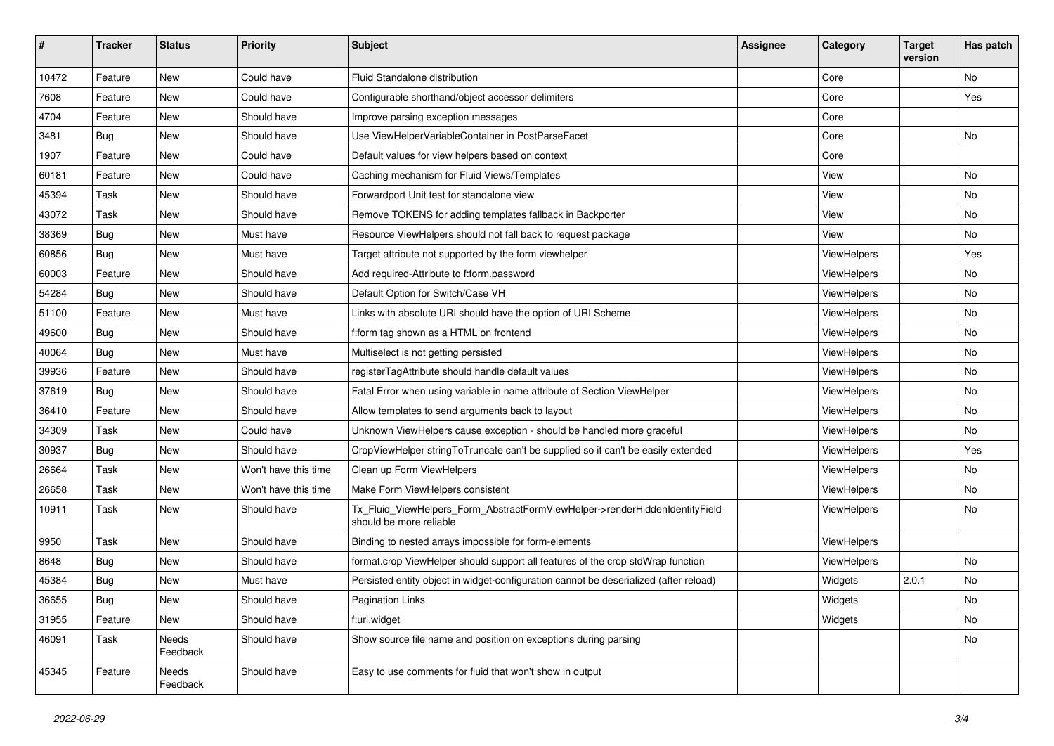| #     | <b>Tracker</b> | <b>Status</b>     | <b>Priority</b>      | <b>Subject</b>                                                                                         | <b>Assignee</b> | Category    | <b>Target</b><br>version | Has patch |
|-------|----------------|-------------------|----------------------|--------------------------------------------------------------------------------------------------------|-----------------|-------------|--------------------------|-----------|
| 10472 | Feature        | New               | Could have           | Fluid Standalone distribution                                                                          |                 | Core        |                          | <b>No</b> |
| 7608  | Feature        | New               | Could have           | Configurable shorthand/object accessor delimiters                                                      |                 | Core        |                          | Yes       |
| 4704  | Feature        | New               | Should have          | Improve parsing exception messages                                                                     |                 | Core        |                          |           |
| 3481  | Bug            | New               | Should have          | Use ViewHelperVariableContainer in PostParseFacet                                                      |                 | Core        |                          | No        |
| 1907  | Feature        | <b>New</b>        | Could have           | Default values for view helpers based on context                                                       |                 | Core        |                          |           |
| 60181 | Feature        | New               | Could have           | Caching mechanism for Fluid Views/Templates                                                            |                 | View        |                          | No        |
| 45394 | Task           | New               | Should have          | Forwardport Unit test for standalone view                                                              |                 | View        |                          | No        |
| 43072 | Task           | New               | Should have          | Remove TOKENS for adding templates fallback in Backporter                                              |                 | View        |                          | No        |
| 38369 | Bug            | New               | Must have            | Resource ViewHelpers should not fall back to request package                                           |                 | View        |                          | No        |
| 60856 | Bug            | New               | Must have            | Target attribute not supported by the form viewhelper                                                  |                 | ViewHelpers |                          | Yes       |
| 60003 | Feature        | <b>New</b>        | Should have          | Add required-Attribute to f:form.password                                                              |                 | ViewHelpers |                          | No        |
| 54284 | Bug            | New               | Should have          | Default Option for Switch/Case VH                                                                      |                 | ViewHelpers |                          | No        |
| 51100 | Feature        | New               | Must have            | Links with absolute URI should have the option of URI Scheme                                           |                 | ViewHelpers |                          | No        |
| 49600 | Bug            | <b>New</b>        | Should have          | f:form tag shown as a HTML on frontend                                                                 |                 | ViewHelpers |                          | No        |
| 40064 | Bug            | <b>New</b>        | Must have            | Multiselect is not getting persisted                                                                   |                 | ViewHelpers |                          | No        |
| 39936 | Feature        | New               | Should have          | registerTagAttribute should handle default values                                                      |                 | ViewHelpers |                          | No        |
| 37619 | Bug            | New               | Should have          | Fatal Error when using variable in name attribute of Section ViewHelper                                |                 | ViewHelpers |                          | No        |
| 36410 | Feature        | <b>New</b>        | Should have          | Allow templates to send arguments back to layout                                                       |                 | ViewHelpers |                          | No        |
| 34309 | Task           | New               | Could have           | Unknown ViewHelpers cause exception - should be handled more graceful                                  |                 | ViewHelpers |                          | No        |
| 30937 | Bug            | New               | Should have          | CropViewHelper stringToTruncate can't be supplied so it can't be easily extended                       |                 | ViewHelpers |                          | Yes       |
| 26664 | Task           | New               | Won't have this time | Clean up Form ViewHelpers                                                                              |                 | ViewHelpers |                          | No        |
| 26658 | Task           | New               | Won't have this time | Make Form ViewHelpers consistent                                                                       |                 | ViewHelpers |                          | No        |
| 10911 | Task           | New               | Should have          | Tx_Fluid_ViewHelpers_Form_AbstractFormViewHelper->renderHiddenIdentityField<br>should be more reliable |                 | ViewHelpers |                          | No        |
| 9950  | Task           | New               | Should have          | Binding to nested arrays impossible for form-elements                                                  |                 | ViewHelpers |                          |           |
| 8648  | Bug            | New               | Should have          | format.crop ViewHelper should support all features of the crop stdWrap function                        |                 | ViewHelpers |                          | No        |
| 45384 | Bug            | New               | Must have            | Persisted entity object in widget-configuration cannot be deserialized (after reload)                  |                 | Widgets     | 2.0.1                    | No        |
| 36655 | Bug            | New               | Should have          | Pagination Links                                                                                       |                 | Widgets     |                          | No        |
| 31955 | Feature        | New               | Should have          | f:uri.widget                                                                                           |                 | Widgets     |                          | No        |
| 46091 | Task           | Needs<br>Feedback | Should have          | Show source file name and position on exceptions during parsing                                        |                 |             |                          | No        |
| 45345 | Feature        | Needs<br>Feedback | Should have          | Easy to use comments for fluid that won't show in output                                               |                 |             |                          |           |